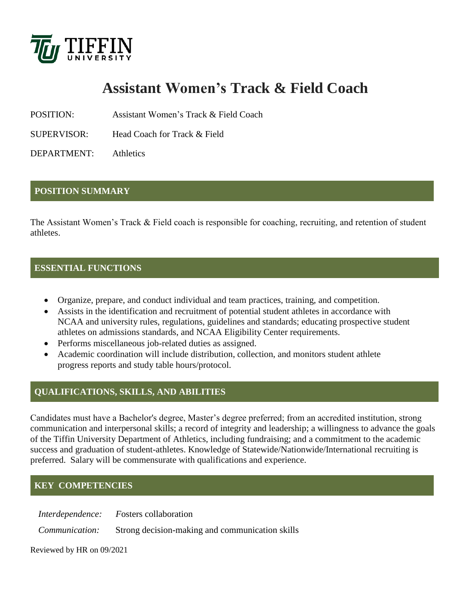

# **Assistant Women's Track & Field Coach**

POSITION: Assistant Women's Track & Field Coach

SUPERVISOR: Head Coach for Track & Field

DEPARTMENT: Athletics

### **POSITION SUMMARY**

The Assistant Women's Track & Field coach is responsible for coaching, recruiting, and retention of student athletes.

### **ESSENTIAL FUNCTIONS**

- Organize, prepare, and conduct individual and team practices, training, and competition.
- Assists in the identification and recruitment of potential student athletes in accordance with NCAA and university rules, regulations, guidelines and standards; educating prospective student athletes on admissions standards, and NCAA Eligibility Center requirements.
- Performs miscellaneous job-related duties as assigned.
- Academic coordination will include distribution, collection, and monitors student athlete progress reports and study table hours/protocol.

# **QUALIFICATIONS, SKILLS, AND ABILITIES**

Candidates must have a Bachelor's degree, Master's degree preferred; from an accredited institution, strong communication and interpersonal skills; a record of integrity and leadership; a willingness to advance the goals of the Tiffin University Department of Athletics, including fundraising; and a commitment to the academic success and graduation of student-athletes. Knowledge of Statewide/Nationwide/International recruiting is preferred. Salary will be commensurate with qualifications and experience.

# **KEY COMPETENCIES**

*Interdependence: F*osters collaboration

*Communication:* Strong decision-making and communication skills

Reviewed by HR on 09/2021